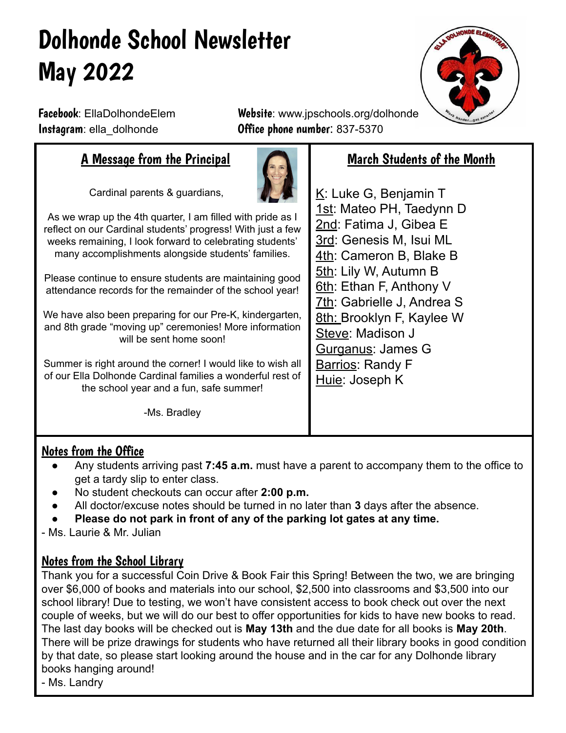# Dolhonde School Newsletter May 2022



Facebook: EllaDolhondeElem Website: www.jpschools.org/dolhonde Instagram: ella dolhonde **Office phone number**: 837-5370

## A Message from the Principal

Cardinal parents & guardians,



As we wrap up the 4th quarter, I am filled with pride as I reflect on our Cardinal students' progress! With just a few weeks remaining, I look forward to celebrating students' many accomplishments alongside students' families.

Please continue to ensure students are maintaining good attendance records for the remainder of the school year!

We have also been preparing for our Pre-K, kindergarten, and 8th grade "moving up" ceremonies! More information will be sent home soon!

Summer is right around the corner! I would like to wish all of our Ella Dolhonde Cardinal families a wonderful rest of the school year and a fun, safe summer!

-Ms. Bradley

# March Students of the Month

K: Luke G, Benjamin T 1st: Mateo PH, Taedynn D 2nd: Fatima J, Gibea E 3rd: Genesis M, Isui ML 4th: Cameron B, Blake B 5th: Lily W, Autumn B 6th: Ethan F, Anthony V 7th: Gabrielle J, Andrea S 8th: Brooklyn F, Kaylee W Steve: Madison J Gurganus: James G **Barrios: Randy F** Huie: Joseph K

### Notes from the Office

- Any students arriving past **7:45 a.m.** must have a parent to accompany them to the office to get a tardy slip to enter class.
- No student checkouts can occur after 2:00 p.m.
- All doctor/excuse notes should be turned in no later than 3 days after the absence.
- **● Please do not park in front of any of the parking lot gates at any time.**

- Ms. Laurie & Mr. Julian

### Notes from the School Library

Thank you for a successful Coin Drive & Book Fair this Spring! Between the two, we are bringing over \$6,000 of books and materials into our school, \$2,500 into classrooms and \$3,500 into our school library! Due to testing, we won't have consistent access to book check out over the next couple of weeks, but we will do our best to offer opportunities for kids to have new books to read. The last day books will be checked out is **May 13th** and the due date for all books is **May 20th**. There will be prize drawings for students who have returned all their library books in good condition by that date, so please start looking around the house and in the car for any Dolhonde library books hanging around!

- Ms. Landry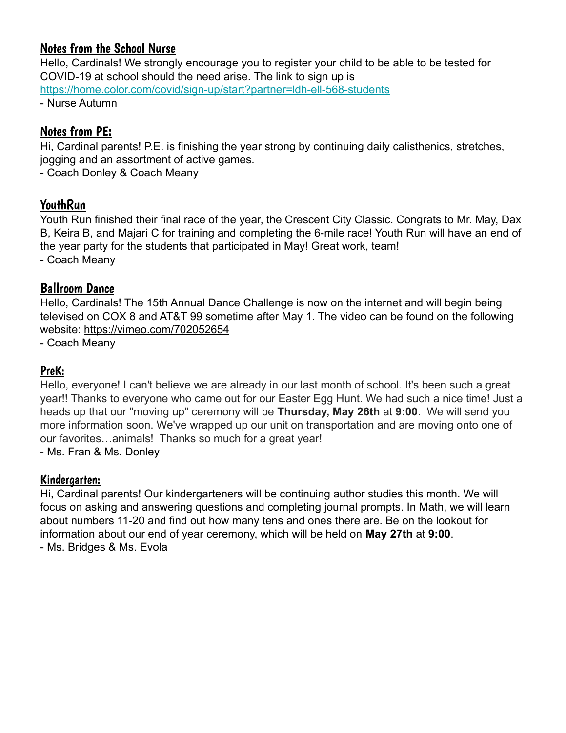### Notes from the School Nurse

Hello, Cardinals! We strongly encourage you to register your child to be able to be tested for COVID-19 at school should the need arise. The link to sign up is <https://home.color.com/covid/sign-up/start?partner=ldh-ell-568-students> - Nurse Autumn

### Notes from PE:

Hi, Cardinal parents! P.E. is finishing the year strong by continuing daily calisthenics, stretches, jogging and an assortment of active games.

- Coach Donley & Coach Meany

### **YouthRun**

Youth Run finished their final race of the year, the Crescent City Classic. Congrats to Mr. May, Dax B, Keira B, and Majari C for training and completing the 6-mile race! Youth Run will have an end of the year party for the students that participated in May! Great work, team! - Coach Meany

### Ballroom Dance

Hello, Cardinals! The 15th Annual Dance Challenge is now on the internet and will begin being televised on COX 8 and AT&T 99 sometime after May 1. The video can be found on the following website: https://vimeo.com/702052654

- Coach Meany

### PreK:

Hello, everyone! I can't believe we are already in our last month of school. It's been such a great year!! Thanks to everyone who came out for our Easter Egg Hunt. We had such a nice time! Just a heads up that our "moving up" ceremony will be **Thursday, May 26th** at **9:00**. We will send you more information soon. We've wrapped up our unit on transportation and are moving onto one of our favorites…animals! Thanks so much for a great year! - Ms. Fran & Ms. Donley

Kindergarten:

Hi, Cardinal parents! Our kindergarteners will be continuing author studies this month. We will focus on asking and answering questions and completing journal prompts. In Math, we will learn about numbers 11-20 and find out how many tens and ones there are. Be on the lookout for information about our end of year ceremony, which will be held on **May 27th** at **9:00**. - Ms. Bridges & Ms. Evola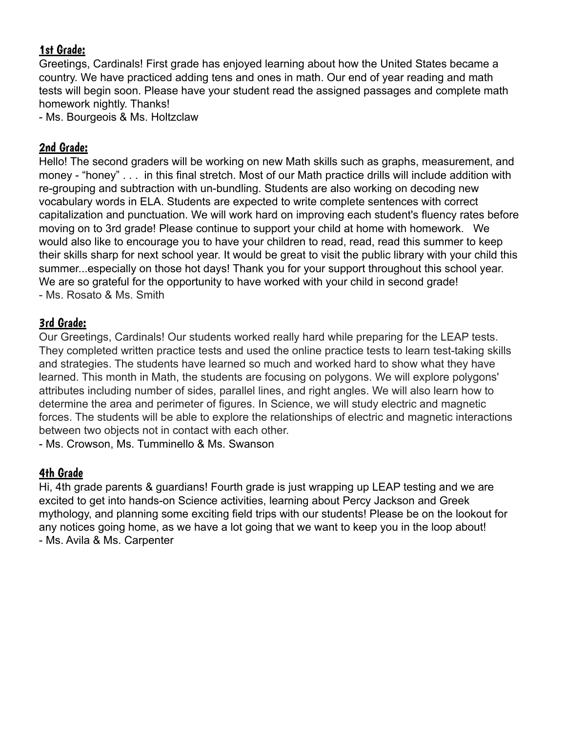### 1st Grade:

Greetings, Cardinals! First grade has enjoyed learning about how the United States became a country. We have practiced adding tens and ones in math. Our end of year reading and math tests will begin soon. Please have your student read the assigned passages and complete math homework nightly. Thanks!

- Ms. Bourgeois & Ms. Holtzclaw

### 2nd Grade:

Hello! The second graders will be working on new Math skills such as graphs, measurement, and money - "honey" . . . in this final stretch. Most of our Math practice drills will include addition with re-grouping and subtraction with un-bundling. Students are also working on decoding new vocabulary words in ELA. Students are expected to write complete sentences with correct capitalization and punctuation. We will work hard on improving each student's fluency rates before moving on to 3rd grade! Please continue to support your child at home with homework. We would also like to encourage you to have your children to read, read, read this summer to keep their skills sharp for next school year. It would be great to visit the public library with your child this summer...especially on those hot days! Thank you for your support throughout this school year. We are so grateful for the opportunity to have worked with your child in second grade! - Ms. Rosato & Ms. Smith

### 3rd Grade:

Our Greetings, Cardinals! Our students worked really hard while preparing for the LEAP tests. They completed written practice tests and used the online practice tests to learn test-taking skills and strategies. The students have learned so much and worked hard to show what they have learned. This month in Math, the students are focusing on polygons. We will explore polygons' attributes including number of sides, parallel lines, and right angles. We will also learn how to determine the area and perimeter of figures. In Science, we will study electric and magnetic forces. The students will be able to explore the relationships of electric and magnetic interactions between two objects not in contact with each other.

- Ms. Crowson, Ms. Tumminello & Ms. Swanson

### 4th Grade

Hi, 4th grade parents & guardians! Fourth grade is just wrapping up LEAP testing and we are excited to get into hands-on Science activities, learning about Percy Jackson and Greek mythology, and planning some exciting field trips with our students! Please be on the lookout for any notices going home, as we have a lot going that we want to keep you in the loop about! - Ms. Avila & Ms. Carpenter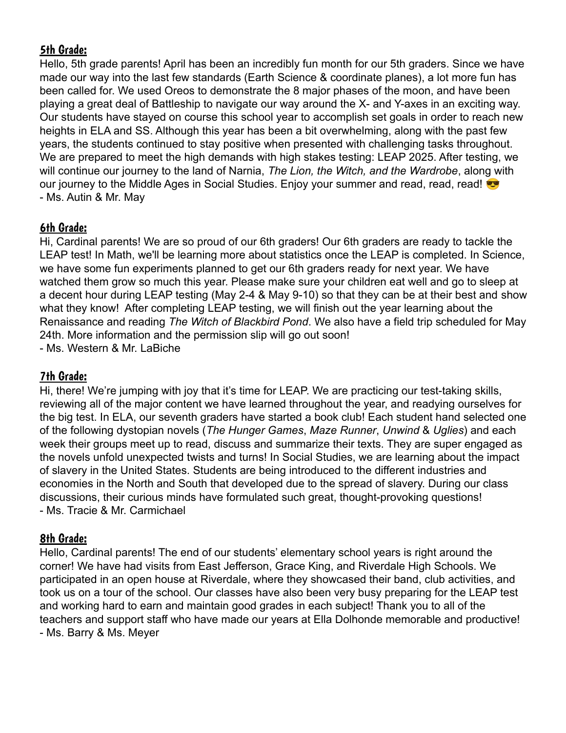### 5th Grade:

Hello, 5th grade parents! April has been an incredibly fun month for our 5th graders. Since we have made our way into the last few standards (Earth Science & coordinate planes), a lot more fun has been called for. We used Oreos to demonstrate the 8 major phases of the moon, and have been playing a great deal of Battleship to navigate our way around the X- and Y-axes in an exciting way. Our students have stayed on course this school year to accomplish set goals in order to reach new heights in ELA and SS. Although this year has been a bit overwhelming, along with the past few years, the students continued to stay positive when presented with challenging tasks throughout. We are prepared to meet the high demands with high stakes testing: LEAP 2025. After testing, we will continue our journey to the land of Narnia, *The Lion, the Witch, and the Wardrobe*, along with our journey to the Middle Ages in Social Studies. Enjoy your summer and read, read, read! - Ms. Autin & Mr. May

### 6th Grade:

Hi, Cardinal parents! We are so proud of our 6th graders! Our 6th graders are ready to tackle the LEAP test! In Math, we'll be learning more about statistics once the LEAP is completed. In Science, we have some fun experiments planned to get our 6th graders ready for next year. We have watched them grow so much this year. Please make sure your children eat well and go to sleep at a decent hour during LEAP testing (May 2-4 & May 9-10) so that they can be at their best and show what they know! After completing LEAP testing, we will finish out the year learning about the Renaissance and reading *The Witch of Blackbird Pond*. We also have a field trip scheduled for May 24th. More information and the permission slip will go out soon! - Ms. Western & Mr. LaBiche

### 7th Grade:

Hi, there! We're jumping with joy that it's time for LEAP. We are practicing our test-taking skills, reviewing all of the major content we have learned throughout the year, and readying ourselves for the big test. In ELA, our seventh graders have started a book club! Each student hand selected one of the following dystopian novels (*The Hunger Games*, *Maze Runner*, *Unwind* & *Uglies*) and each week their groups meet up to read, discuss and summarize their texts. They are super engaged as the novels unfold unexpected twists and turns! In Social Studies, we are learning about the impact of slavery in the United States. Students are being introduced to the different industries and economies in the North and South that developed due to the spread of slavery. During our class discussions, their curious minds have formulated such great, thought-provoking questions! - Ms. Tracie & Mr. Carmichael

### 8th Grade:

Hello, Cardinal parents! The end of our students' elementary school years is right around the corner! We have had visits from East Jefferson, Grace King, and Riverdale High Schools. We participated in an open house at Riverdale, where they showcased their band, club activities, and took us on a tour of the school. Our classes have also been very busy preparing for the LEAP test and working hard to earn and maintain good grades in each subject! Thank you to all of the teachers and support staff who have made our years at Ella Dolhonde memorable and productive! - Ms. Barry & Ms. Meyer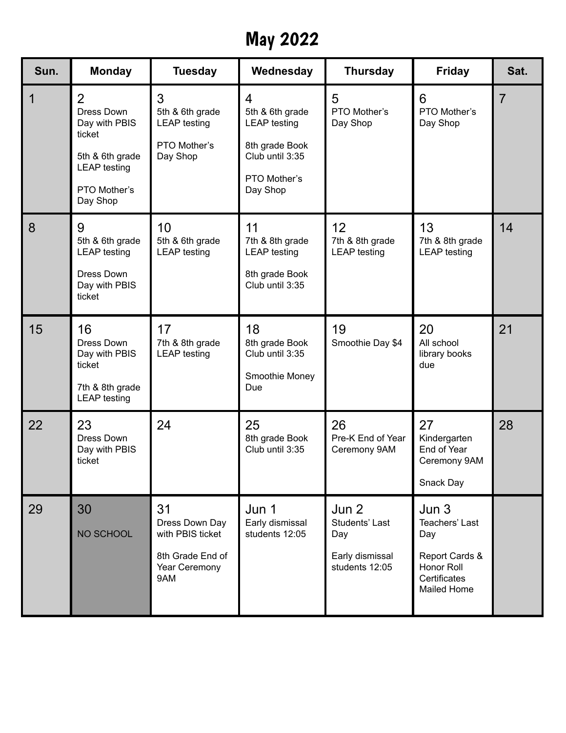# May 2022

| Sun. | <b>Monday</b>                                                                                                    | <b>Tuesday</b>                                                                       | Wednesday                                                                                                    | <b>Thursday</b>                                                     | <b>Friday</b>                                                                                            | Sat. |
|------|------------------------------------------------------------------------------------------------------------------|--------------------------------------------------------------------------------------|--------------------------------------------------------------------------------------------------------------|---------------------------------------------------------------------|----------------------------------------------------------------------------------------------------------|------|
| 1    | 2<br>Dress Down<br>Day with PBIS<br>ticket<br>5th & 6th grade<br><b>LEAP</b> testing<br>PTO Mother's<br>Day Shop | 3<br>5th & 6th grade<br><b>LEAP</b> testing<br>PTO Mother's<br>Day Shop              | 4<br>5th & 6th grade<br><b>LEAP</b> testing<br>8th grade Book<br>Club until 3:35<br>PTO Mother's<br>Day Shop | 5<br>PTO Mother's<br>Day Shop                                       | 6<br>PTO Mother's<br>Day Shop                                                                            | 7    |
| 8    | 9<br>5th & 6th grade<br><b>LEAP</b> testing<br>Dress Down<br>Day with PBIS<br>ticket                             | 10<br>5th & 6th grade<br><b>LEAP</b> testing                                         | 11<br>7th & 8th grade<br><b>LEAP</b> testing<br>8th grade Book<br>Club until 3:35                            | 12 <sub>2</sub><br>7th & 8th grade<br><b>LEAP</b> testing           | 13<br>7th & 8th grade<br><b>LEAP</b> testing                                                             | 14   |
| 15   | 16<br>Dress Down<br>Day with PBIS<br>ticket<br>7th & 8th grade<br><b>LEAP</b> testing                            | 17<br>7th & 8th grade<br><b>LEAP</b> testing                                         | 18<br>8th grade Book<br>Club until 3:35<br>Smoothie Money<br>Due                                             | 19<br>Smoothie Day \$4                                              | 20<br>All school<br>library books<br>due                                                                 | 21   |
| 22   | 23<br>Dress Down<br>Day with PBIS<br>ticket                                                                      | 24                                                                                   | 25<br>8th grade Book<br>Club until 3:35                                                                      | 26<br>Pre-K End of Year<br>Ceremony 9AM                             | 27<br>Kindergarten<br>End of Year<br>Ceremony 9AM<br>Snack Day                                           | 28   |
| 29   | 30<br>NO SCHOOL                                                                                                  | 31<br>Dress Down Day<br>with PBIS ticket<br>8th Grade End of<br>Year Ceremony<br>9AM | Jun 1<br>Early dismissal<br>students 12:05                                                                   | Jun 2<br>Students' Last<br>Day<br>Early dismissal<br>students 12:05 | Jun <sub>3</sub><br>Teachers' Last<br>Day<br>Report Cards &<br>Honor Roll<br>Certificates<br>Mailed Home |      |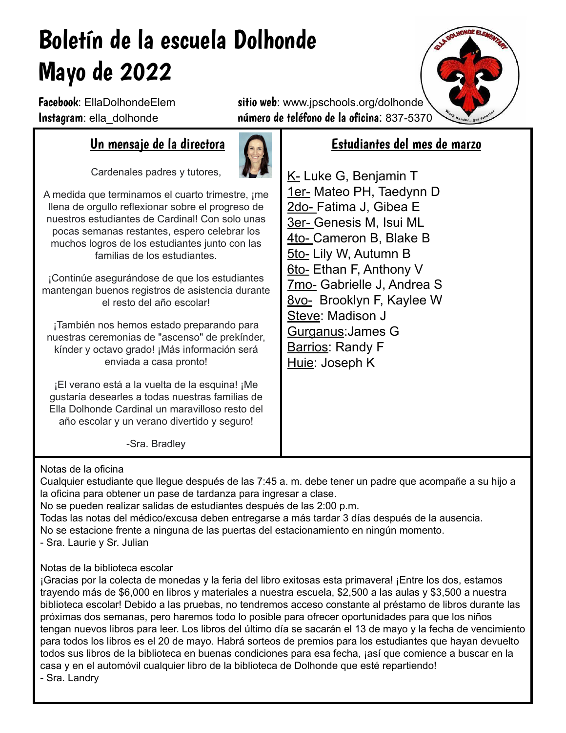# Boletín de la escuela Dolhonde Mayo de 2022

Facebook: EllaDolhondeElem sitio web: www.jpschools.org/dolhonde Instagram: ella dolhonde número de teléfono de la oficina: 837-5370

## Un mensaje de la directora

Cardenales padres y tutores,



A medida que terminamos el cuarto trimestre, ¡me llena de orgullo reflexionar sobre el progreso de nuestros estudiantes de Cardinal! Con solo unas pocas semanas restantes, espero celebrar los muchos logros de los estudiantes junto con las familias de los estudiantes.

¡Continúe asegurándose de que los estudiantes mantengan buenos registros de asistencia durante el resto del año escolar!

¡También nos hemos estado preparando para nuestras ceremonias de "ascenso" de prekínder, kínder y octavo grado! ¡Más información será enviada a casa pronto!

¡El verano está a la vuelta de la esquina! ¡Me gustaría desearles a todas nuestras familias de Ella Dolhonde Cardinal un maravilloso resto del año escolar y un verano divertido y seguro!

### Estudiantes del mes de marzo

K- Luke G, Benjamin T 1er- Mateo PH, Taedynn D 2do- Fatima J, Gibea E 3er- Genesis M, Isui ML 4to- Cameron B, Blake B 5to- Lily W, Autumn B 6to- Ethan F, Anthony V 7mo- Gabrielle J, Andrea S 8vo- Brooklyn F, Kaylee W Steve: Madison J Gurganus:James G Barrios: Randy F Huie: Joseph K

-Sra. Bradley

### Notas de la oficina

Cualquier estudiante que llegue después de las 7:45 a. m. debe tener un padre que acompañe a su hijo a la oficina para obtener un pase de tardanza para ingresar a clase.

No se pueden realizar salidas de estudiantes después de las 2:00 p.m.

Todas las notas del médico/excusa deben entregarse a más tardar 3 días después de la ausencia. No se estacione frente a ninguna de las puertas del estacionamiento en ningún momento.

- Sra. Laurie y Sr. Julian

### Notas de la biblioteca escolar

¡Gracias por la colecta de monedas y la feria del libro exitosas esta primavera! ¡Entre los dos, estamos trayendo más de \$6,000 en libros y materiales a nuestra escuela, \$2,500 a las aulas y \$3,500 a nuestra biblioteca escolar! Debido a las pruebas, no tendremos acceso constante al préstamo de libros durante las próximas dos semanas, pero haremos todo lo posible para ofrecer oportunidades para que los niños tengan nuevos libros para leer. Los libros del último día se sacarán el 13 de mayo y la fecha de vencimiento para todos los libros es el 20 de mayo. Habrá sorteos de premios para los estudiantes que hayan devuelto todos sus libros de la biblioteca en buenas condiciones para esa fecha, ¡así que comience a buscar en la casa y en el automóvil cualquier libro de la biblioteca de Dolhonde que esté repartiendo! - Sra. Landry

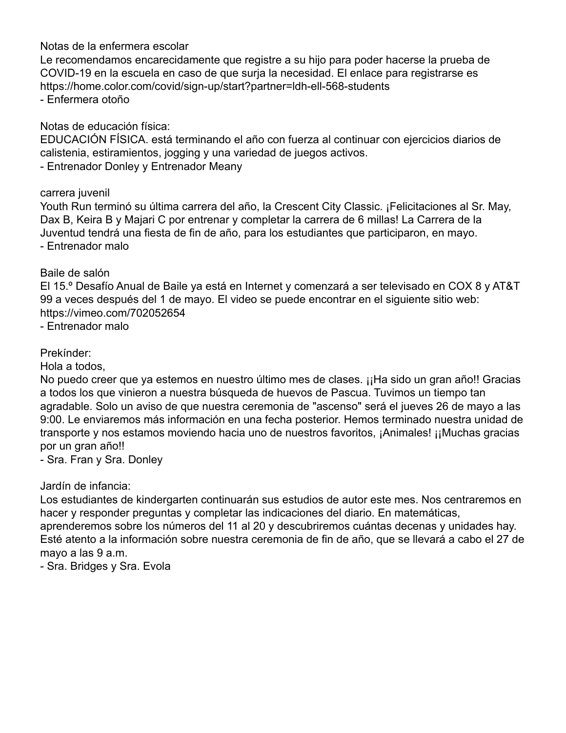### Notas de la enfermera escolar

Le recomendamos encarecidamente que registre a su hijo para poder hacerse la prueba de COVID-19 en la escuela en caso de que surja la necesidad. El enlace para registrarse es https://home.color.com/covid/sign-up/start?partner=ldh-ell-568-students - Enfermera otoño

Notas de educación física:

EDUCACIÓN FÍSICA. está terminando el año con fuerza al continuar con ejercicios diarios de calistenia, estiramientos, jogging y una variedad de juegos activos. - Entrenador Donley y Entrenador Meany

carrera juvenil

Youth Run terminó su última carrera del año, la Crescent City Classic. ¡Felicitaciones al Sr. May, Dax B, Keira B y Majari C por entrenar y completar la carrera de 6 millas! La Carrera de la Juventud tendrá una fiesta de fin de año, para los estudiantes que participaron, en mayo. - Entrenador malo

#### Baile de salón

El 15.º Desafío Anual de Baile ya está en Internet y comenzará a ser televisado en COX 8 y AT&T 99 a veces después del 1 de mayo. El video se puede encontrar en el siguiente sitio web: https://vimeo.com/702052654

- Entrenador malo

### Prekínder:

Hola a todos,

No puedo creer que ya estemos en nuestro último mes de clases. ¡¡Ha sido un gran año!! Gracias a todos los que vinieron a nuestra búsqueda de huevos de Pascua. Tuvimos un tiempo tan agradable. Solo un aviso de que nuestra ceremonia de "ascenso" será el jueves 26 de mayo a las 9:00. Le enviaremos más información en una fecha posterior. Hemos terminado nuestra unidad de transporte y nos estamos moviendo hacia uno de nuestros favoritos, ¡Animales! ¡¡Muchas gracias por un gran año!!

- Sra. Fran y Sra. Donley

Jardín de infancia:

Los estudiantes de kindergarten continuarán sus estudios de autor este mes. Nos centraremos en hacer y responder preguntas y completar las indicaciones del diario. En matemáticas, aprenderemos sobre los números del 11 al 20 y descubriremos cuántas decenas y unidades hay. Esté atento a la información sobre nuestra ceremonia de fin de año, que se llevará a cabo el 27 de mayo a las 9 a.m.

- Sra. Bridges y Sra. Evola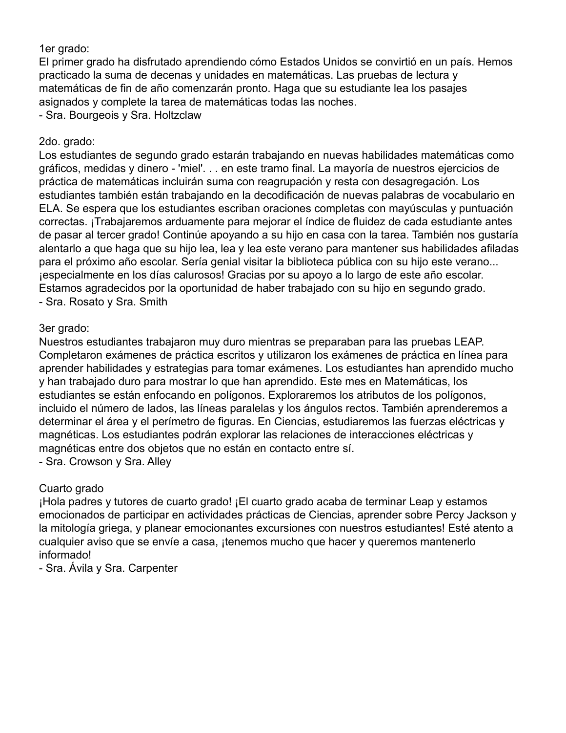### 1er grado:

El primer grado ha disfrutado aprendiendo cómo Estados Unidos se convirtió en un país. Hemos practicado la suma de decenas y unidades en matemáticas. Las pruebas de lectura y matemáticas de fin de año comenzarán pronto. Haga que su estudiante lea los pasajes asignados y complete la tarea de matemáticas todas las noches.

- Sra. Bourgeois y Sra. Holtzclaw

### 2do. grado:

Los estudiantes de segundo grado estarán trabajando en nuevas habilidades matemáticas como gráficos, medidas y dinero - 'miel'. . . en este tramo final. La mayoría de nuestros ejercicios de práctica de matemáticas incluirán suma con reagrupación y resta con desagregación. Los estudiantes también están trabajando en la decodificación de nuevas palabras de vocabulario en ELA. Se espera que los estudiantes escriban oraciones completas con mayúsculas y puntuación correctas. ¡Trabajaremos arduamente para mejorar el índice de fluidez de cada estudiante antes de pasar al tercer grado! Continúe apoyando a su hijo en casa con la tarea. También nos gustaría alentarlo a que haga que su hijo lea, lea y lea este verano para mantener sus habilidades afiladas para el próximo año escolar. Sería genial visitar la biblioteca pública con su hijo este verano... ¡especialmente en los días calurosos! Gracias por su apoyo a lo largo de este año escolar. Estamos agradecidos por la oportunidad de haber trabajado con su hijo en segundo grado. - Sra. Rosato y Sra. Smith

### 3er grado:

Nuestros estudiantes trabajaron muy duro mientras se preparaban para las pruebas LEAP. Completaron exámenes de práctica escritos y utilizaron los exámenes de práctica en línea para aprender habilidades y estrategias para tomar exámenes. Los estudiantes han aprendido mucho y han trabajado duro para mostrar lo que han aprendido. Este mes en Matemáticas, los estudiantes se están enfocando en polígonos. Exploraremos los atributos de los polígonos, incluido el número de lados, las líneas paralelas y los ángulos rectos. También aprenderemos a determinar el área y el perímetro de figuras. En Ciencias, estudiaremos las fuerzas eléctricas y magnéticas. Los estudiantes podrán explorar las relaciones de interacciones eléctricas y magnéticas entre dos objetos que no están en contacto entre sí.

- Sra. Crowson y Sra. Alley

### Cuarto grado

¡Hola padres y tutores de cuarto grado! ¡El cuarto grado acaba de terminar Leap y estamos emocionados de participar en actividades prácticas de Ciencias, aprender sobre Percy Jackson y la mitología griega, y planear emocionantes excursiones con nuestros estudiantes! Esté atento a cualquier aviso que se envíe a casa, ¡tenemos mucho que hacer y queremos mantenerlo informado!

- Sra. Ávila y Sra. Carpenter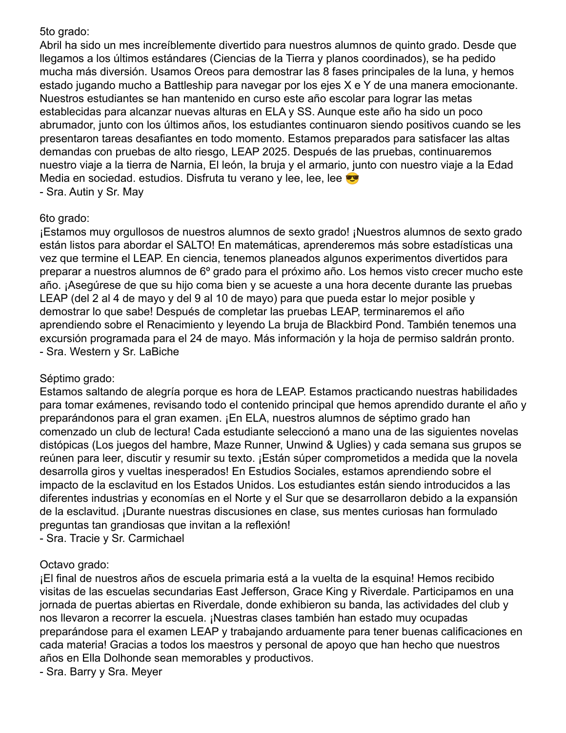### 5to grado:

Abril ha sido un mes increíblemente divertido para nuestros alumnos de quinto grado. Desde que llegamos a los últimos estándares (Ciencias de la Tierra y planos coordinados), se ha pedido mucha más diversión. Usamos Oreos para demostrar las 8 fases principales de la luna, y hemos estado jugando mucho a Battleship para navegar por los ejes X e Y de una manera emocionante. Nuestros estudiantes se han mantenido en curso este año escolar para lograr las metas establecidas para alcanzar nuevas alturas en ELA y SS. Aunque este año ha sido un poco abrumador, junto con los últimos años, los estudiantes continuaron siendo positivos cuando se les presentaron tareas desafiantes en todo momento. Estamos preparados para satisfacer las altas demandas con pruebas de alto riesgo, LEAP 2025. Después de las pruebas, continuaremos nuestro viaje a la tierra de Narnia, El león, la bruja y el armario, junto con nuestro viaje a la Edad Media en sociedad. estudios. Disfruta tu verano y lee, lee, lee

- Sra. Autin y Sr. May

### 6to grado:

¡Estamos muy orgullosos de nuestros alumnos de sexto grado! ¡Nuestros alumnos de sexto grado están listos para abordar el SALTO! En matemáticas, aprenderemos más sobre estadísticas una vez que termine el LEAP. En ciencia, tenemos planeados algunos experimentos divertidos para preparar a nuestros alumnos de 6º grado para el próximo año. Los hemos visto crecer mucho este año. ¡Asegúrese de que su hijo coma bien y se acueste a una hora decente durante las pruebas LEAP (del 2 al 4 de mayo y del 9 al 10 de mayo) para que pueda estar lo mejor posible y demostrar lo que sabe! Después de completar las pruebas LEAP, terminaremos el año aprendiendo sobre el Renacimiento y leyendo La bruja de Blackbird Pond. También tenemos una excursión programada para el 24 de mayo. Más información y la hoja de permiso saldrán pronto. - Sra. Western y Sr. LaBiche

### Séptimo grado:

Estamos saltando de alegría porque es hora de LEAP. Estamos practicando nuestras habilidades para tomar exámenes, revisando todo el contenido principal que hemos aprendido durante el año y preparándonos para el gran examen. ¡En ELA, nuestros alumnos de séptimo grado han comenzado un club de lectura! Cada estudiante seleccionó a mano una de las siguientes novelas distópicas (Los juegos del hambre, Maze Runner, Unwind & Uglies) y cada semana sus grupos se reúnen para leer, discutir y resumir su texto. ¡Están súper comprometidos a medida que la novela desarrolla giros y vueltas inesperados! En Estudios Sociales, estamos aprendiendo sobre el impacto de la esclavitud en los Estados Unidos. Los estudiantes están siendo introducidos a las diferentes industrias y economías en el Norte y el Sur que se desarrollaron debido a la expansión de la esclavitud. ¡Durante nuestras discusiones en clase, sus mentes curiosas han formulado preguntas tan grandiosas que invitan a la reflexión!

- Sra. Tracie y Sr. Carmichael

### Octavo grado:

¡El final de nuestros años de escuela primaria está a la vuelta de la esquina! Hemos recibido visitas de las escuelas secundarias East Jefferson, Grace King y Riverdale. Participamos en una jornada de puertas abiertas en Riverdale, donde exhibieron su banda, las actividades del club y nos llevaron a recorrer la escuela. ¡Nuestras clases también han estado muy ocupadas preparándose para el examen LEAP y trabajando arduamente para tener buenas calificaciones en cada materia! Gracias a todos los maestros y personal de apoyo que han hecho que nuestros años en Ella Dolhonde sean memorables y productivos.

- Sra. Barry y Sra. Meyer